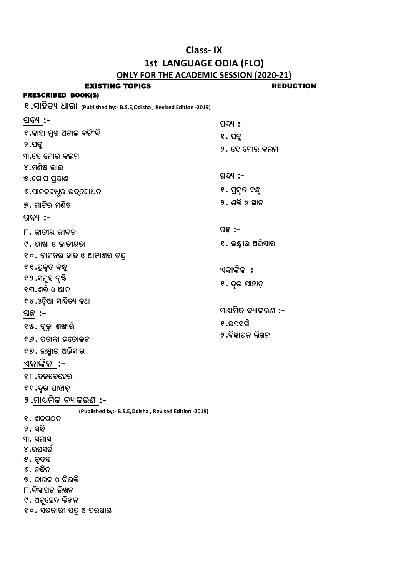## **Class- IX 1st LANGUAGE ODIA (FLO) ONLY FOR THE ACADEMIC SESSION (2020-21)**

| <b>EXISTING TOPICS</b>                                                            | <b>REDUCTION</b>    |
|-----------------------------------------------------------------------------------|---------------------|
| <b>PRESCRIBED BOOK(S)</b>                                                         |                     |
| Q . 외효어 십이 (Published by:- B.S.E, Odisha , Revised Edition -2019)                 |                     |
| ପଦ୍ୟ :–                                                                           | ପଦ୍ୟ :-             |
| ୧.କାହା ମୁଖ ଅନାଇ ବଚିଂବି                                                            | ୧. ପଦ୍ମ             |
| ୨.ପଦୁ                                                                             | ୨. ହେ ମୋର କଲମ       |
| ୩.ହେ ମୋର କଲମ                                                                      |                     |
| ୪.ମଣିଷ ଭାଇ                                                                        |                     |
| ୫.ଗୋପ ପ୍ରୟାଣ                                                                      | ଗଦ୍ୟ :–             |
| <i>୬</i> .ପାଇକବଧୂର ଉଦ୍ବୋଧନ                                                        | ୧. ପ୍ରକୃତ ବନ୍ଧୁ     |
| ୭. ମାଟିର ମଣିଷ                                                                     | ୨. ଶକ୍ତି ଓ ଜ୍ଞାନ    |
| ଗଦ୍ୟ :–                                                                           |                     |
| $\Gamma$ . ଜାତୀୟ ଜୀବନ                                                             | ଗଳ :-               |
| ୯. ଭାଷା ଓ ଜାତୀୟତା                                                                 | ୧. ଲକ୍ଷ୍ମୀର ଅଭିସାର  |
| ୧୦. ବାମନର ହାତ ଓ ଆକାଶର ଚନ୍ଦ୍ର                                                      |                     |
| ୧୧.ପ୍ରକୃତ ବନ୍ଧୁ                                                                   | ଏକାଙ୍କିକା :-        |
| ୧୨.ସମୂହ ଦୃଷ୍ଟି                                                                    | ୧. ଦୂର ପାହାଡ଼       |
| ୧୩.ଶକ୍ତି ଓ ଜ୍ଞାନ                                                                  |                     |
| ୧୪.ଓଡ଼ିଆ ସାହିତ୍ୟ କଥା                                                              |                     |
| ଗଳ୍ପ :-                                                                           | ମାଧ୍ୟମିକ ବ୍ୟାକରଣ :- |
| ୧୫. ବୃଢ଼ା ଶଙ୍ଖାରି                                                                 | ୧.ଉପସର୍ଗ            |
| ୧ <i>୬</i> . ପତାକା ଉତୋଳନ                                                          | ୨.ବିଜ୍ଞାପନ ଲିଖନ     |
| ୧୭. ଲକ୍ଷ୍ମୀର ଅଭିସାର                                                               |                     |
| ଏକାଙ୍କିକା :-                                                                      |                     |
| ୧୮.ଦଳବେହେରା                                                                       |                     |
| ୧୯.ବୂର ପାହାଡ଼                                                                     |                     |
| ୨.ମାଧ୍ୟମିକ ବ୍ୟାକରଣ :-                                                             |                     |
| (Published by:- B.S.E, Odisha, Revised Edition -2019)<br>$e.$ ଶବ୍ଦଗଠନ<br>୨. ସନ୍ଧି |                     |
| ୩. ସମାସ<br>୪.ଉପସର୍ଗ                                                               |                     |
| ୫. କୃଦନ୍ତ                                                                         |                     |
| ୬. ତଦ୍ଧିତ                                                                         |                     |
| ୭. କାରକ ଓ ବିଭକ୍ତି                                                                 |                     |
| ୮.ବିଜ୍ଞାପନ ଲିଖନ                                                                   |                     |
| ୯. ଅନୁଚ୍ଛେଦ ଲିଖନ                                                                  |                     |
| ୧୦. ସରକାରୀ ପତ୍ର ଓ ଦରଖାୟ                                                           |                     |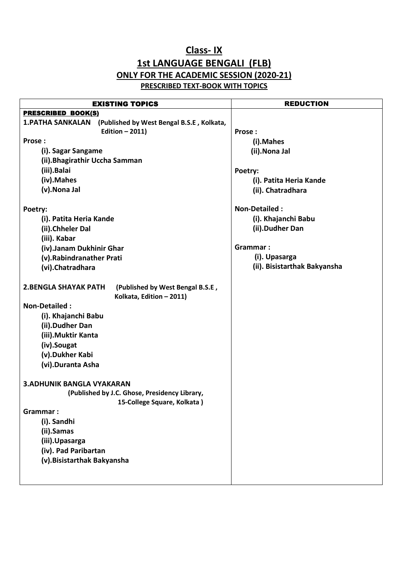## **Class- IX 1st LANGUAGE BENGALI (FLB) ONLY FOR THE ACADEMIC SESSION (2020-21) PRESCRIBED TEXT-BOOK WITH TOPICS**

| <b>EXISTING TOPICS</b>                                                | <b>REDUCTION</b>             |
|-----------------------------------------------------------------------|------------------------------|
| <b>PRESCRIBED BOOK(S)</b>                                             |                              |
| <b>1. PATHA SANKALAN</b><br>(Published by West Bengal B.S.E, Kolkata, |                              |
| Edition $-2011$ )                                                     | Prose:                       |
| Prose:                                                                | (i).Mahes                    |
| (i). Sagar Sangame                                                    | (ii).Nona Jal                |
| (ii). Bhagirathir Uccha Samman                                        |                              |
| (iii).Balai                                                           | Poetry:                      |
| (iv).Mahes                                                            | (i). Patita Heria Kande      |
| (v). Nona Jal                                                         | (ii). Chatradhara            |
|                                                                       |                              |
| Poetry:                                                               | <b>Non-Detailed:</b>         |
| (i). Patita Heria Kande                                               | (i). Khajanchi Babu          |
| (ii).Chheler Dal                                                      | (ii).Dudher Dan              |
| (iii). Kabar                                                          |                              |
| (iv).Janam Dukhinir Ghar                                              | Grammar:                     |
| (v).Rabindranather Prati                                              | (i). Upasarga                |
| (vi).Chatradhara                                                      | (ii). Bisistarthak Bakyansha |
|                                                                       |                              |
| <b>2.BENGLA SHAYAK PATH</b><br>(Published by West Bengal B.S.E,       |                              |
| Kolkata, Edition - 2011)                                              |                              |
| <b>Non-Detailed:</b>                                                  |                              |
| (i). Khajanchi Babu                                                   |                              |
| (ii).Dudher Dan                                                       |                              |
| (iii). Muktir Kanta                                                   |                              |
| (iv).Sougat                                                           |                              |
| (v).Dukher Kabi                                                       |                              |
| (vi).Duranta Asha                                                     |                              |
|                                                                       |                              |
| <b>3.ADHUNIK BANGLA VYAKARAN</b>                                      |                              |
| (Published by J.C. Ghose, Presidency Library,                         |                              |
| 15-College Square, Kolkata)                                           |                              |
| Grammar:                                                              |                              |
| (i). Sandhi                                                           |                              |
| (ii).Samas                                                            |                              |
| (iii).Upasarga                                                        |                              |
| (iv). Pad Paribartan                                                  |                              |
| (v). Bisistarthak Bakyansha                                           |                              |
|                                                                       |                              |
|                                                                       |                              |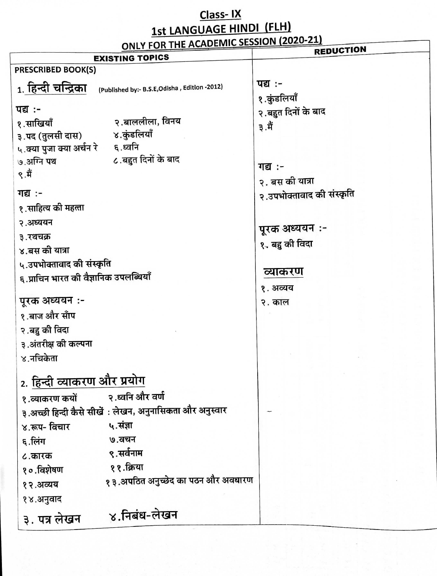# Class-IX<br>1st LANGUAGE HINDI (FLH)

|                                        | <b>ONLY FOR THE ACADEMIC SESSION (2020-21)</b>           | <b>REDUCTION</b>          |
|----------------------------------------|----------------------------------------------------------|---------------------------|
| <b>PRESCRIBED BOOK(S)</b>              | <b>EXISTING TOPICS</b>                                   |                           |
|                                        |                                                          | पद्य :-                   |
| 1. हिन्दी चन्द्रिका                    | (Published by:- B.S.E,Odisha, Edition -2012)             | १.कुंडलियाँ               |
| पद्य :-                                |                                                          | २.बहुत दिनों के बाद       |
| १.साखियाँ                              | २.बाललीला, विनय                                          | ३.मैं                     |
| ३.पद (तुलसी दास) ४.कुंडलियाँ           |                                                          |                           |
| ५.क्या पुजा क्या अर्चन रे ६.ध्वनि      |                                                          |                           |
| ७.अग्नि पथ                             | ८.बहुत दिनों के बाद                                      | गद्य :-                   |
| ९.मैं                                  |                                                          | २. बस की यात्रा           |
| गद्य :-                                |                                                          | २.उपभोक्तावाद की संस्कृति |
| १.साहित्य की महत्ता                    |                                                          |                           |
| २.अध्ययन                               |                                                          |                           |
| ३.रथचक्र                               |                                                          | पूरक अध्ययन :-            |
| ४.बस की यात्रा                         |                                                          | १. बहु की विदा            |
| ५.उपभोक्तावाद की संस्कृति              |                                                          |                           |
| ६.प्राचिन भारत की वैज्ञानिक उपलब्धियाँ |                                                          | व्याकरण                   |
|                                        |                                                          | १. अव्यय                  |
| पूरक अध्ययन :-                         |                                                          | २. काल                    |
| १.बाज और साँप                          |                                                          |                           |
| २ .बहु की विदा                         |                                                          |                           |
| ३.अंतरीक्ष की कल्पना                   |                                                          |                           |
| ४.नचिकेता                              |                                                          |                           |
| 2. <u>हिन्दी व्याकरण और प्रयो</u> ग    |                                                          |                           |
|                                        | २.ध्वनि और वर्ण                                          |                           |
| १.व्याकरण कयों                         | ३.अच्छी हिन्दी कैसे सीखें : लेखन, अनुनासिकता और अनुस्वार |                           |
|                                        | ५.संज्ञा                                                 |                           |
| ४.रूप- विचार                           | ७.वचन                                                    |                           |
| ६.लिंग                                 | ९.सर्वनाम                                                |                           |
| ८.कारक                                 | ११.क्रिया                                                |                           |
| १०.विशेषण                              | १३.अपठित अनुच्छेद का पठन और अवधारण                       |                           |
| १२.अव्यय                               |                                                          |                           |
| १४.अनुवाद                              |                                                          |                           |
| ३. पत्र लेखन                           | ४.निबंध-लेखन                                             |                           |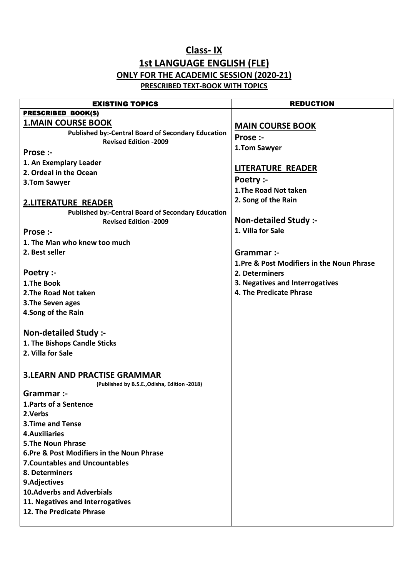## **Class- IX 1st LANGUAGE ENGLISH (FLE) ONLY FOR THE ACADEMIC SESSION (2020-21) PRESCRIBED TEXT-BOOK WITH TOPICS**

| <b>EXISTING TOPICS</b>                                    | <b>REDUCTION</b>                           |
|-----------------------------------------------------------|--------------------------------------------|
| <b>PRESCRIBED BOOK(S)</b>                                 |                                            |
| <b>1.MAIN COURSE BOOK</b>                                 | <b>MAIN COURSE BOOK</b>                    |
| <b>Published by:-Central Board of Secondary Education</b> | Prose :-                                   |
| <b>Revised Edition -2009</b>                              | 1.Tom Sawyer                               |
| Prose :-                                                  |                                            |
| 1. An Exemplary Leader                                    | <b>LITERATURE READER</b>                   |
| 2. Ordeal in the Ocean                                    |                                            |
| 3.Tom Sawyer                                              | Poetry :-                                  |
|                                                           | 1. The Road Not taken                      |
| <b>2.LITERATURE READER</b>                                | 2. Song of the Rain                        |
| <b>Published by:-Central Board of Secondary Education</b> |                                            |
| <b>Revised Edition -2009</b>                              | <b>Non-detailed Study:-</b>                |
| Prose :-                                                  | 1. Villa for Sale                          |
| 1. The Man who knew too much                              |                                            |
| 2. Best seller                                            | Grammar :-                                 |
|                                                           | 1. Pre & Post Modifiers in the Noun Phrase |
| Poetry :-                                                 | 2. Determiners                             |
| 1.The Book                                                | 3. Negatives and Interrogatives            |
| 2. The Road Not taken                                     | 4. The Predicate Phrase                    |
| 3. The Seven ages                                         |                                            |
| 4.Song of the Rain                                        |                                            |
|                                                           |                                            |
| <b>Non-detailed Study:-</b>                               |                                            |
| 1. The Bishops Candle Sticks                              |                                            |
| 2. Villa for Sale                                         |                                            |
|                                                           |                                            |
| <b>3.LEARN AND PRACTISE GRAMMAR</b>                       |                                            |
| (Published by B.S.E., Odisha, Edition -2018)              |                                            |
| Grammar :-                                                |                                            |
| 1. Parts of a Sentence                                    |                                            |
| 2. Verbs                                                  |                                            |
| <b>3. Time and Tense</b>                                  |                                            |
| <b>4. Auxiliaries</b>                                     |                                            |
| <b>5.The Noun Phrase</b>                                  |                                            |
| 6.Pre & Post Modifiers in the Noun Phrase                 |                                            |
| <b>7. Countables and Uncountables</b>                     |                                            |
| 8. Determiners                                            |                                            |
| 9.Adjectives                                              |                                            |
| <b>10.Adverbs and Adverbials</b>                          |                                            |
| 11. Negatives and Interrogatives                          |                                            |
| 12. The Predicate Phrase                                  |                                            |
|                                                           |                                            |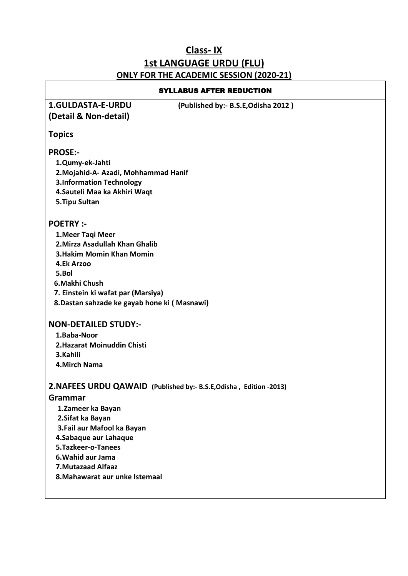## **Class- IX 1st LANGUAGE URDU (FLU) ONLY FOR THE ACADEMIC SESSION (2020-21)**

| <b>SYLLABUS AFTER REDUCTION</b>                                     |
|---------------------------------------------------------------------|
| <b>1.GULDASTA-E-URDU</b><br>(Published by:- B.S.E, Odisha 2012)     |
| (Detail & Non-detail)                                               |
| <b>Topics</b>                                                       |
| <b>PROSE:-</b>                                                      |
| 1.Qumy-ek-Jahti                                                     |
| 2. Mojahid-A- Azadi, Mohhammad Hanif                                |
| <b>3.Information Technology</b><br>4. Sauteli Maa ka Akhiri Waqt    |
| 5. Tipu Sultan                                                      |
|                                                                     |
| <b>POETRY:-</b>                                                     |
| 1. Meer Taqi Meer                                                   |
| 2. Mirza Asadullah Khan Ghalib                                      |
| <b>3. Hakim Momin Khan Momin</b>                                    |
| 4.Ek Arzoo                                                          |
| 5.Bol<br>6.Makhi Chush                                              |
| 7. Einstein ki wafat par (Marsiya)                                  |
| 8. Dastan sahzade ke gayab hone ki (Masnawi)                        |
|                                                                     |
| <b>NON-DETAILED STUDY:-</b>                                         |
| 1.Baba-Noor                                                         |
| 2. Hazarat Moinuddin Chisti                                         |
| 3.Kahili                                                            |
| <b>4.Mirch Nama</b>                                                 |
| 2. NAFEES URDU QAWAID (Published by:- B.S.E, Odisha, Edition -2013) |
| Grammar                                                             |
| 1.Zameer ka Bayan                                                   |
| 2. Sifat ka Bayan                                                   |
| 3. Fail aur Mafool ka Bayan                                         |
| 4. Sabaque aur Lahaque                                              |
| 5.Tazkeer-o-Tanees                                                  |
| 6. Wahid aur Jama<br><b>7. Mutazaad Alfaaz</b>                      |
| 8. Mahawarat aur unke Istemaal                                      |
|                                                                     |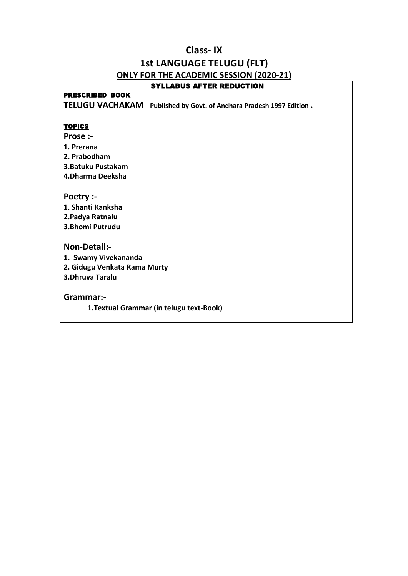## **Class- IX 1st LANGUAGE TELUGU (FLT) ONLY FOR THE ACADEMIC SESSION (2020-21)**

#### SYLLABUS AFTER REDUCTION

#### PRESCRIBED BOOK

**TELUGU VACHAKAM Published by Govt. of Andhara Pradesh 1997 Edition .** 

#### **TOPICS**

- **Prose :-**
- **1. Prerana**
- **2. Prabodham**
- **3.Batuku Pustakam**
- **4.Dharma Deeksha**

**Poetry :-** 

**1. Shanti Kanksha 2.Padya Ratnalu 3.Bhomi Putrudu** 

#### **Non-Detail:-**

**1. Swamy Vivekananda 2. Gidugu Venkata Rama Murty 3.Dhruva Taralu** 

**Grammar:-** 

**1.Textual Grammar (in telugu text-Book)**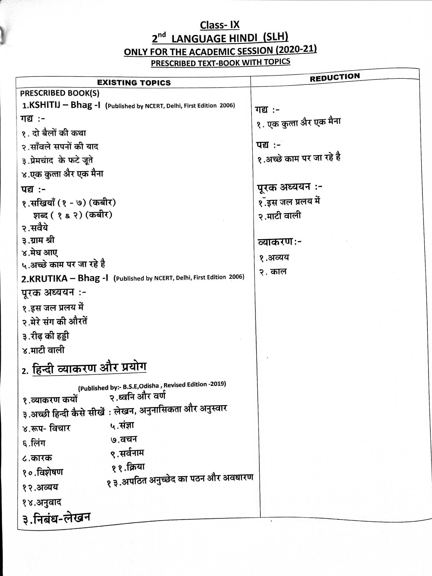# Class-IX<br>2<sup>nd</sup> LANGUAGE HINDI (SLH) ONLY FOR THE ACADEMIC SESSION (2020-21) **PRESCRIBED TEXT-BOOK WITH TOPICS**

|                                                                     | <b>REDUCTION</b>         |
|---------------------------------------------------------------------|--------------------------|
| <b>EXISTING TOPICS</b><br><b>PRESCRIBED BOOK(S)</b>                 |                          |
| 1.KSHITIJ - Bhag -1 (Published by NCERT, Delhi, First Edition 2006) |                          |
|                                                                     | गद्य :-                  |
| गद्य :-                                                             | १. एक कुत्ता अैर एक मैना |
| १. दो बैलों की कथा                                                  |                          |
| २.साँवले सपनों की याद                                               | <b>पद्य:-</b>            |
| ३.प्रेमचांद के फटे जूते                                             | १.अच्छे काम पर जा रहे है |
| ४.एक कुला अैर एक मैना                                               |                          |
| <b>पद्य:-</b>                                                       | पूरक अध्ययन :-           |
| १.सखियाँ (१ - ७) (कबीर)                                             | १.ँइस जल प्रलय में       |
| शब्द ( १ & २) (कबीर)                                                | २.माटी वाली              |
| २.सवैये                                                             |                          |
| ३.ग्राम श्री                                                        | व्याकरण:-                |
| ४.मेघ आए                                                            | १.अव्यय                  |
| ५.अच्छे काम पर जा रहे है                                            | २. काल                   |
| 2.KRUTIKA - Bhag -1 (Published by NCERT, Delhi, First Edition 2006) |                          |
| पूरक अध्ययन :-                                                      |                          |
| १.इस जल प्रलय में                                                   |                          |
| २.मेरे संग की औरतें                                                 |                          |
| ३.रीढ़ की हड्डी                                                     |                          |
| ४.माटी वाली                                                         |                          |
| 2. <u>हिन्दी</u> व्याकरण और प्रयोग                                  |                          |
| (Published by:- B.S.E, Odisha, Revised Edition -2019)               |                          |
| १.व्याकरण कयों २.ध्वनि और वर्ण                                      |                          |
| ३.अच्छी हिन्दी कैसे सीखें : लेखन, अनुनासिकता और अनुस्वार            |                          |
| ५.संज्ञा<br>४.रूप- विचार                                            |                          |
| ७.वचन<br>६.लिंग                                                     |                          |
| ९.सर्वनाम<br>८.कारक                                                 |                          |
| ११.क्रिया<br>१०.विशेषण                                              |                          |
| १३.अपठित अनुच्छेद का पठन और अवधारण<br>१२.अव्यय                      |                          |
| १४.अनुवाद                                                           |                          |
| ३.निबंध-लेखन                                                        |                          |
|                                                                     |                          |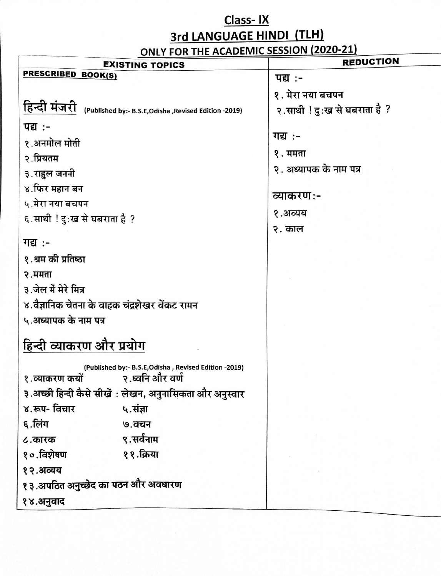## Class-IX

3rd LANGUAGE HINDI (TLH)

ONLY FOR THE ACADEMIC SESSION (2020-21)

| <b>EXISTING TOPICS</b>                                                | <b>REDUCTION</b>             |
|-----------------------------------------------------------------------|------------------------------|
| <b>PRESCRIBED BOOK(S)</b>                                             | <b>पद्य:-</b>                |
|                                                                       | १. मेरा नया बचपन             |
| हिन्दी मंजरी<br>(Published by:- B.S.E, Odisha, Revised Edition -2019) | २.साथी ! दुःख से घबराता है ? |
| पद्य :-                                                               |                              |
| १.अनमोल मोती                                                          | <u>गद्य :-</u>               |
| २.प्रियतम                                                             | १. ममता                      |
| ३.राहुल जननी                                                          | २. अध्यापक के नाम पत्र       |
| ४.फिर महान बन                                                         | व्याकरण:-                    |
| ५.मेरा नया बचपन                                                       |                              |
| ६.साथी ! दुःख से घबराता है ?                                          | १.अव्यय                      |
|                                                                       | २. काल                       |
| गद्य :-                                                               |                              |
| १.श्रम की प्रतिष्ठा                                                   |                              |
| २.ममता                                                                |                              |
| ३.जेल में मेरे मित्र                                                  |                              |
| ४.वैज्ञानिक चेतना के वाहक चंद्रशेखर वेंकट रामन                        |                              |
| ५.अध्यापक के नाम पत्र                                                 |                              |
| हिन्दी व्याकरण और प्रयोग                                              |                              |
| (Published by:- B.S.E, Odisha, Revised Edition -2019)                 |                              |
| १.व्याकरण कयों २.ध्वनि और वर्ण                                        |                              |
| ३.अच्छी हिन्दी कैसे सीखें : लेखन, अनुनासिकता और अनुस्वार              |                              |
| ४.रूप- विचार<br>५.संज्ञा                                              |                              |
| ६.लिंग<br>७.वचन                                                       |                              |
| ९.सर्वनाम<br>८.कारक                                                   |                              |
| ११.क्रिया<br>१०.विशेषण                                                |                              |
| १२.अव्यय                                                              |                              |
| १३.अपठित अनुच्छेद का पठन और अवधारण                                    |                              |
| १४.अनुवाद                                                             |                              |
|                                                                       |                              |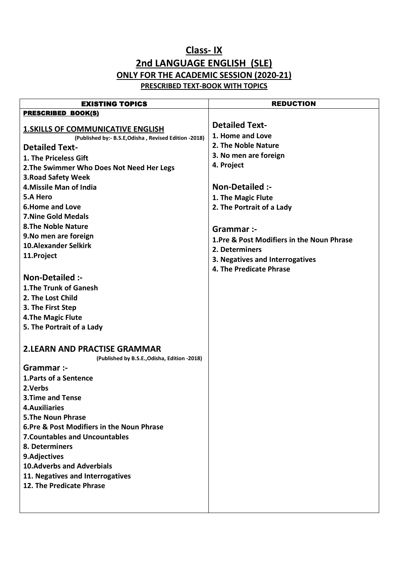## **Class- IX 2nd LANGUAGE ENGLISH (SLE) ONLY FOR THE ACADEMIC SESSION (2020-21) PRESCRIBED TEXT-BOOK WITH TOPICS**

| <b>EXISTING TOPICS</b>                                                                             | <b>REDUCTION</b>                           |
|----------------------------------------------------------------------------------------------------|--------------------------------------------|
| <b>PRESCRIBED BOOK(S)</b>                                                                          |                                            |
|                                                                                                    | <b>Detailed Text-</b>                      |
| <b>1. SKILLS OF COMMUNICATIVE ENGLISH</b><br>(Published by:- B.S.E, Odisha, Revised Edition -2018) | 1. Home and Love                           |
| <b>Detailed Text-</b>                                                                              | 2. The Noble Nature                        |
| 1. The Priceless Gift                                                                              | 3. No men are foreign                      |
| 2. The Swimmer Who Does Not Need Her Legs                                                          | 4. Project                                 |
| <b>3. Road Safety Week</b>                                                                         |                                            |
| 4. Missile Man of India                                                                            | <b>Non-Detailed:-</b>                      |
| 5.A Hero                                                                                           | 1. The Magic Flute                         |
| <b>6.Home and Love</b>                                                                             | 2. The Portrait of a Lady                  |
| <b>7. Nine Gold Medals</b>                                                                         |                                            |
| <b>8.The Noble Nature</b>                                                                          |                                            |
| 9. No men are foreign                                                                              | Grammar :-                                 |
| <b>10.Alexander Selkirk</b>                                                                        | 1. Pre & Post Modifiers in the Noun Phrase |
| 11.Project                                                                                         | 2. Determiners                             |
|                                                                                                    | 3. Negatives and Interrogatives            |
| <b>Non-Detailed:-</b>                                                                              | 4. The Predicate Phrase                    |
|                                                                                                    |                                            |
| 1. The Trunk of Ganesh<br>2. The Lost Child                                                        |                                            |
|                                                                                                    |                                            |
| 3. The First Step                                                                                  |                                            |
| <b>4.The Magic Flute</b>                                                                           |                                            |
| 5. The Portrait of a Lady                                                                          |                                            |
|                                                                                                    |                                            |
| <b>2.LEARN AND PRACTISE GRAMMAR</b>                                                                |                                            |
| (Published by B.S.E., Odisha, Edition -2018)                                                       |                                            |
| Grammar :-                                                                                         |                                            |
| 1. Parts of a Sentence                                                                             |                                            |
| 2.Verbs                                                                                            |                                            |
| <b>3. Time and Tense</b>                                                                           |                                            |
| 4. Auxiliaries                                                                                     |                                            |
| <b>5.The Noun Phrase</b><br>6. Pre & Post Modifiers in the Noun Phrase                             |                                            |
| <b>7. Countables and Uncountables</b>                                                              |                                            |
| 8. Determiners                                                                                     |                                            |
| 9.Adjectives                                                                                       |                                            |
| <b>10.Adverbs and Adverbials</b>                                                                   |                                            |
| 11. Negatives and Interrogatives                                                                   |                                            |
| 12. The Predicate Phrase                                                                           |                                            |
|                                                                                                    |                                            |
|                                                                                                    |                                            |
|                                                                                                    |                                            |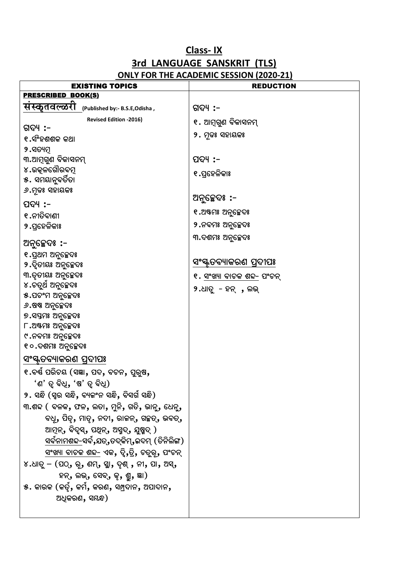## **Class-IX** 3rd LANGUAGE SANSKRIT (TLS) ONLY FOR THE ACADEMIC SESSION (2020-21)

| <b>EXISTING TOPICS</b>                                 | <b>REDUCTION</b>           |
|--------------------------------------------------------|----------------------------|
| <b>PRESCRIBED BOOK(S)</b>                              |                            |
| सस्कृतवल्ळरा<br>(Published by:- B.S.E, Odisha,         | ଗଦ୍ୟ :–                    |
| <b>Revised Edition -2016)</b>                          | ୧. ଆମ୍ଗୁଣ ବିକାସନମ୍         |
| ଗଦ୍ୟ :–                                                | ୨. ମୂଢଃ ସହାୟକଃ             |
| ୧.ସଂହଶଶକ କଥା                                           |                            |
| ୨.ସତ୍ୟମୂ                                               |                            |
| ୩.ଆମ୍ଗୁଣ ବିକାସନମ୍<br>୪.ଉତ୍କଳଗୌରବମୂ                     | ପଦ୍ୟ :–                    |
| ୫. ସମୟାନୁବର୍ତିତା                                       | ୧.ପ୍ରହେଳିକାଃ               |
| ୬.ମୂଢଃ ସହାୟକଃ                                          |                            |
|                                                        | ଅନୁଚ୍ଛେଦଃ :–               |
| ପଦ୍ୟ :–                                                | ୧.ଅଷ୍ଟମଃ ଅନୁଚ୍ଛେଦଃ         |
| ୧.ନୀତିବାଣୀ                                             | ୨.ନବମଃ ଅନୁଚ୍ଛେଦଃ           |
| ୨.ପ୍ରହେଳିକାଃ                                           |                            |
| ଅନୁଚ୍ଛେଦଃ :-                                           | ୩.ଦଶମଃ ଅନୁଚ୍ଛେଦଃ           |
| ୧.ପ୍ରଥମ ଅନ୍ସଚ୍ଛେଦଃ                                     |                            |
| ୨.ଦିତୀୟଃ ଅନୁଚ୍ଛେଦଃ                                     | ସଂସ୍କୃତବ୍ୟାକରଣ ପ୍ରଦୀପଃ     |
| ୩.ତୃତୀୟଃ ଅନୁଚ୍ଛେଦଃ                                     | ୧. ସଂଖ୍ୟା ବାଚକ ଶବ୍ଦ- ପଂଚନ୍ |
| ୪.ଚତୁର୍ଥ ଅନୁଚ୍ଛେଦଃ                                     | $9.$ ଧାତୁ - ହନ୍ , ଲଭ୍      |
| ୫.ପଚଂମ ଅନୁଚ୍ଛେଦଃ                                       |                            |
| <i>୬</i> .ଷଷ ଅନୁଚ୍ଛେଦଃ                                 |                            |
| ୭.ସପ୍ତମଃ ଅନୁଚ୍ଛେଦଃ                                     |                            |
| ୮.ଅଷ୍ଟମଃ ଅନୁଚ୍ଛେଦଃ                                     |                            |
| ୯.ନବମଃ ଅନୁଚ୍ଛେଦଃ                                       |                            |
| ୧୦.ଦଶମଃ ଅନୁଚ୍ଛେଦଃ                                      |                            |
| ସଂସ୍କୃତବ୍ୟାକରଣ ପ୍ରଦୀପଃ                                 |                            |
| ୧.ବର୍ଷ ପରିଚୟ (ସଜ୍ଞା, ପଦ, ବଚନ, ପୁରୁଷ,                   |                            |
| 'ଶ' ତ୍ୱ ବିଧି, 'ଷ' ତ୍ୱ ବିଧି)                            |                            |
| ୨. ସନ୍ଧି (ସ୍ୱର ସନ୍ଧି, ବ୍ୟକଂନ ସନ୍ଧି, ବିସର୍ଗ ସନ୍ଧି)      |                            |
| ୩.ଶବ୍ଦ ( ବଳକ, ଫଳ, ଲତା, ମୁନି, ଗତି, ଭାନୁ, ଧେନୁ,          |                            |
| ବଧୂ, ପିତୃ, ମାତୃ, ନଦୀ, ରାଜନ୍, ଗଚ୍ଛତ୍, ଭବତ୍,             |                            |
| ଆମୂନ୍, ବିଦୃସ୍, ପଥିନ୍, ଅସ୍ମଦ୍, ଯୁଷ୍ମଦ୍)                 |                            |
| ସର୍ବନ <u>ାମଶବ୍ଦ-</u> ସର୍ବ,ଯତ୍,ତଦ୍କିମ୍,ଇଦମ୍ (ତିନିଲିଙ୍ଗ) |                            |
| <u>ସଂଖ୍ୟା ବାଚକ ଶବ୍ଦ-</u> ଏକ, ଦ୍ୱି,ତ୍ରି, ଚତୁରୂ, ପଂଚନ୍   |                            |
| ୪.ଧାତୁ – (ପଠ୍, ରୂ, ଶମ୍, ସ୍ଥା, ଦୃଶ୍ , ନୀ, ପା, ଅସ୍,      |                            |
| ହନ୍, ଲଭ୍, ସେବ୍, କ୍ଟ, ଶ୍ମ, ଜ୍ଞା)                        |                            |
| $\,$ ୫. କାରକ (କର୍ତୃ, କର୍ମ, କରଣ, ସମ୍ପ୍ରଦାନ, ଅପାଦାନ,     |                            |
| ଅଧିକରଣ, ସୟନ୍ଧ)                                         |                            |
|                                                        |                            |
|                                                        |                            |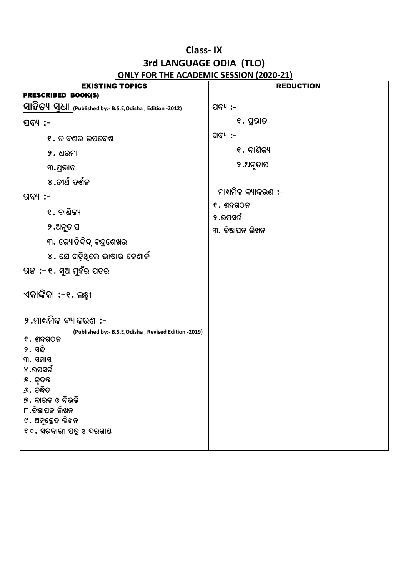## **Class-IX** 3rd LANGUAGE ODIA (TLO) **ONLY FOR THE ACADEMIC SESSION (2020-21)**

| <b>EXISTING TOPICS</b>                                         | <b>REDUCTION</b>    |
|----------------------------------------------------------------|---------------------|
| <b>PRESCRIBED BOOK(S)</b>                                      |                     |
| 외요 아 <u>시 없는</u> (Published by:- B.S.E,Odisha , Edition -2012) | ପଦ୍ୟ :-             |
| ପଦ୍ୟ :-                                                        | ୧. ପ୍ରଭାତ           |
| ୧. ରାବଣର ଉପଦେଶ                                                 | ଗଦ୍ୟ :-             |
| $9.$ ଧରମା                                                      | ୧. ବାଶିକ୍ୟ          |
| ୩.ପ୍ରଭାତ                                                       | ୨.ଅନୁତାପ            |
| ୪.ତୀର୍ଥ ଦର୍ଶନ                                                  |                     |
| ଗଦ୍ୟ :–                                                        | ମାଧ୍ୟମିକ ବ୍ୟାକରଣ :- |
| ୧. ବାଶିକ୍ୟ                                                     | $e.$ ଶବ୍ଦଗଠନ        |
|                                                                | ୨.ଉପସର୍ଗ            |
| ୨.ଅନୁତାପ                                                       | ୩. ବିଜ୍ଞାପନ ଲିଖନ    |
| ୩. କ୍ୟୋତିର୍ବିଦ୍ ଚନ୍ଦ୍ରଶେଖର                                     |                     |
| ୪. ଯେ ଗଢ଼ିଥିଲେ ଭାଷାର କେଣାର୍କ                                   |                     |
| ଗଞ୍ଚ :- ୧. ସୁଅ ମୁହଁର ପତର                                       |                     |
| ଏକାଙ୍କିକା :-୧. ଲକ୍ଷ୍ମୀ                                         |                     |
| ୨.ମାଧ୍ୟମିକ ବ୍ୟାକରଣ :-                                          |                     |
| (Published by:- B.S.E, Odisha, Revised Edition -2019)          |                     |
| $e.$ ଶବ୍ଦଗଠନ<br>୨. ସନ୍ଧି                                       |                     |
| ୩. ସମାସ                                                        |                     |
| ୪.ଉପସର୍ଗ                                                       |                     |
| ୫. କୃଦନ୍ତ                                                      |                     |
| ୬. ତଦ୍ଧିତ                                                      |                     |
| ୭. କାରକ ଓ ବିଭକ୍ତି                                              |                     |
| ୮.ବିଜ୍ଞାପନ ଲିଖନ<br>୯. ଅନୁଚ୍ଛେଦ ଲିଖନ                            |                     |
| ୧୦. ସରକାରୀ ପତ୍ର ଓ ଦରଖାୟ                                        |                     |
|                                                                |                     |
|                                                                |                     |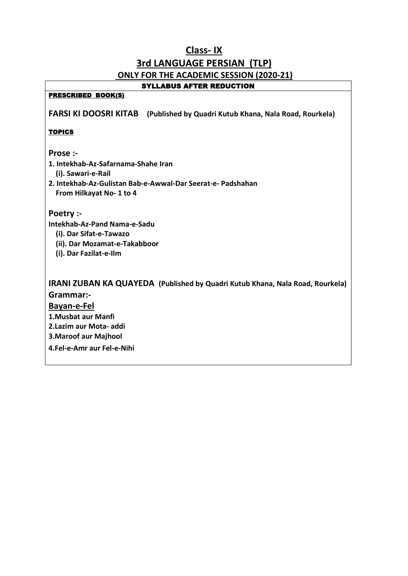## **Class- IX 3rd LANGUAGE PERSIAN (TLP) ONLY FOR THE ACADEMIC SESSION (2020-21)**

#### SYLLABUS AFTER REDUCTION

#### PRESCRIBED BOOK(S)

**FARSI KI DOOSRI KITAB (Published by Quadri Kutub Khana, Nala Road, Rourkela)**

#### **TOPICS**

#### **Prose :-**

- **1. Intekhab-Az-Safarnama-Shahe Iran** 
	- **(i). Sawari-e-Rail**
- **2. Intekhab-Az-Gulistan Bab-e-Awwal-Dar Seerat-e- Padshahan From Hilkayat No- 1 to 4**

#### **Poetry :-**

- **Intekhab-Az-Pand Nama-e-Sadu** 
	- **(i). Dar Sifat-e-Tawazo**
	- **(ii). Dar Mozamat-e-Takabboor**
	- **(i). Dar Fazilat-e-Ilm**

**IRANI ZUBAN KA QUAYEDA (Published by Quadri Kutub Khana, Nala Road, Rourkela) Grammar:-** 

#### **Bayan-e-Fel**

- **1.Musbat aur Manfi**
- **2.Lazim aur Mota- addi**
- **3.Maroof aur Majhool**
- **4.Fel-e-Amr aur Fel-e-Nihi**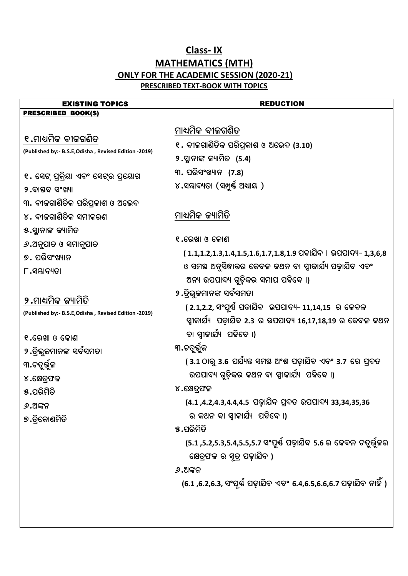## Class-IX **MATHEMATICS (MTH)** ONLY FOR THE ACADEMIC SESSION (2020-21) **PRESCRIBED TEXT-BOOK WITH TOPICS**

| <b>EXISTING TOPICS</b>                                | <b>REDUCTION</b>                                                   |
|-------------------------------------------------------|--------------------------------------------------------------------|
| <b>PRESCRIBED BOOK(S)</b>                             |                                                                    |
|                                                       | ମାଧ୍ୟମିକ ବୀଜଗଣିତ                                                   |
| ୧.ମାଧ୍ୟମିକ ବୀକଗଣିତ                                    | ୧. ବୀଜଗାଣିତିକ ପରିପ୍ରକାଶ ଓ ଅଭେଦ (3.10)                              |
| (Published by:- B.S.E, Odisha, Revised Edition -2019) | ୨.ସ୍ଥାନାଙ୍କ କ୍ୟାମିତ (5.4)                                          |
|                                                       | ୩. ପରିସଂଖ୍ୟାନ (7.8)                                                |
| ୧. ସେଟ୍ ପ୍ରକ୍ରିୟା ଏବଂ ସେଟ୍ର ପ୍ରୟୋଗ                    | ୪.ସମ୍ଭାବ୍ୟତା (ସମ୍ପୁର୍ଷ ଅଧାୟ )                                      |
| ୨.ବାସ୍ତବ ସଂଖ୍ୟା                                       |                                                                    |
| ୩. ବୀକଗାଣିତିକ ପରିପ୍ରକାଶ ଓ ଅଭେଦ                        |                                                                    |
| ୪. ବୀଜଗାଣିତିକ ସମୀକରଣ                                  | ମାଧ୍ୟମିକ ଜ୍ୟାମିତି                                                  |
| ୫.ସ୍ମାନାଙ୍କ ଜ୍ୟାମିତ                                   |                                                                    |
| ୬.ଅନୁପାତ ଓ ସମାନୁପାତ                                   | ୧.ରେଖା ଓ କୋଣ                                                       |
| ୭. ପରିସଂଖ୍ୟାନ                                         | ( 1.1,1.2,1.3,1.4,1.5,1.6,1.7,1.8,1.9 ପଢାଯିବ । ଉପପାଦ୍ୟ- 1,3,6,8    |
| $\Gamma$ .ସମ୍ଭାବ୍ୟତା                                  | ଓ ସମସ୍ତ ଅନୁସିଦ୍ଧାନ୍ତର କେବଳ କଥନ ବା ସ୍ୱୀକାର୍ଯ୍ୟ ପଢ଼ାଯିବ ଏବଂ          |
|                                                       | ଅନ୍ୟ ଉପପାଦ୍ୟ ଗୁଡ଼ିକର ସମାପ ପଢିବେ ।)                                 |
| ୨.ମାଧ୍ୟମିକ ଜ୍ୟାମିତି                                   | ୨.ତ୍ରିଭୁଜମାନଙ୍କ ସର୍ବସମତା                                           |
| (Published by:- B.S.E, Odisha, Revised Edition -2019) | ( 2.1,2.2, ସଂପୂର୍ଣ୍ଣ ପଢାଯିବ  ଉପପାଦ୍ୟ- 11,14,15  ର କେବଳ             |
|                                                       | ସ୍ୱୀକାର୍ଯ୍ୟ  ପଢ଼ାଯିବ 2.3 ର ଉପପାଦ୍ୟ 16,17,18,19 ର କେବଳ କଥନ          |
| ୧.ରେଖା ଓ କୋଣ                                          | ବା ସ୍ୱୀକାର୍ଯ୍ୟ  ପଢିବେ ।)                                           |
| ୨.ତ୍ରିଭୁଜମାନଙ୍କ ସର୍ବସମତା                              | ୩.ଚତୁର୍ଭୁଜ                                                         |
| ୩.ଚତୁର୍ଭୁଜ                                            | (3.1 ଠାରୁ 3.6 ପର୍ଯ୍ୟନ୍ତ ସମୟ ଅଂଶ ପଢ଼ାଯିବ ଏବଂ 3.7 ରେ ପ୍ରଦତ           |
| ୪.କ୍ଷେତ୍ରଫଳ                                           | ଉପପାଦ୍ୟ ଗୁଡ଼ିକର କଥନ ବା ସ୍ୱୀକାର୍ଯ୍ୟ  ପଢିବେ ।)                       |
| ୫.ପରିମିତି                                             | ୪.କ୍ଷେତ୍ରଫଳ                                                        |
| ୬.ଅଙ୍କନ                                               | (4.1 ,4.2,4.3,4.4,4.5 ପଢ଼ାଯିବ ପ୍ରଦତ ଉପପାଦ୍ୟ 33,34,35,36            |
| ୭.ତ୍ରିକୋଣମିତି                                         | ର କଥନ ବା ସ୍ୱୀକାର୍ଯ୍ୟ  ପଢିବେ ।)                                     |
|                                                       | ୫.ପରିମିତି                                                          |
|                                                       | (5.1 ,5.2,5.3,5.4,5.5,5.7 ସଂପୂର୍ଷ ପଢ଼ାଯିବ 5.6 ର କେବଳ ଚତୁର୍ଭୁକର     |
|                                                       | କ୍ଷେତ୍ରଫଳ ର ସୂତ୍ର ପଢ଼ାଯିବ )                                        |
|                                                       | ୬.ଅଙ୍କନ                                                            |
|                                                       | (6.1 ,6.2,6.3, ସଂପୂର୍ଷ ପଢ଼ାଯିବ ଏବଂ 6.4,6.5,6.6,6.7 ପଢ଼ାଯିବ ନାହିଁ ) |
|                                                       |                                                                    |
|                                                       |                                                                    |
|                                                       |                                                                    |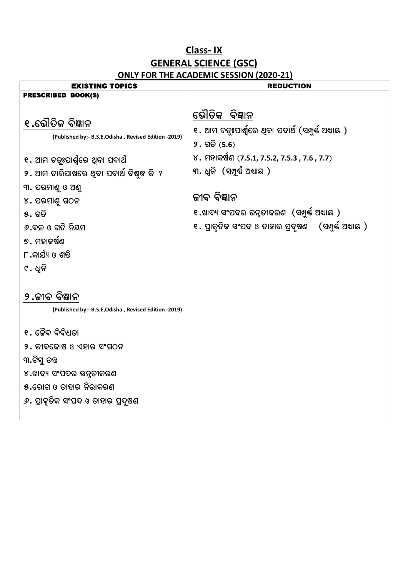## **Class- IX GENERAL SCIENCE (GSC) ONLY FOR THE ACADEMIC SESSION (2020-21)**

| <b>EXISTING TOPICS</b>                                                                                                                                                                                                                                                                      | <b>REDUCTION</b>                                                                                                                                                                                                                                                                                   |
|---------------------------------------------------------------------------------------------------------------------------------------------------------------------------------------------------------------------------------------------------------------------------------------------|----------------------------------------------------------------------------------------------------------------------------------------------------------------------------------------------------------------------------------------------------------------------------------------------------|
| PRESCRIBED BOOK(S)                                                                                                                                                                                                                                                                          |                                                                                                                                                                                                                                                                                                    |
| ୧.ଭୌତିକ ବିଜ୍ଞାନ<br>(Published by:- B.S.E, Odisha, Revised Edition -2019)<br>୧. ଆମ ଚତ୍ତୃଃପାର୍ଶ୍ୱରେ ଥିବା ପଦାର୍ଥ<br>୨. ଆମ ଚାରିପାଖରେ ଥିବା ପଦାର୍ଥ ବିଶୁଦ୍ଧ କି  ?<br>୩. ପରମାଣୁ ଓ ଅଣୁ<br>$\gamma$ . ପରମାଣୁ ଗଠନ<br>$\delta$ . ଗତି<br>୬.ବଳ ଓ ଗତି ନିୟମ<br>୭. ମହାକର୍ଷଣ<br>୮.କାର୍ଯ୍ୟ ଓ ଶକ୍ତି<br>୯. ଧ୍ୱନି | ଭୌତିକ ବିଜ୍ଞାନ<br>୧. ଆମ ଚତ୍ରୁଃପାର୍ଶ୍ୱରେ ଥିବା ପଦାର୍ଥ (ସମ୍ପୁର୍ଷ ଅଧାୟ )<br>$9.$ ଗତି $(5.6)$<br>୪. ମହାକର୍ଷଣ (7.5.1, 7.5.2, 7.5.3 , 7.6 , 7.7)<br>୩. ଧ୍ୱନି (ସମ୍ପୁର୍ଷ ଅଧ୍ୟାୟ )<br>ଜୀବ ବିଜ୍ଞାନ<br>୧.ଖାଦ୍ୟ ସଂପଦର ଉନ୍ନତୀକରଣ  (ସମ୍ପୁର୍ଷ୍ଣ ଅଧ୍ୟାୟ )<br>୧. ପ୍ରାକୃତିକ ସଂପଦ ଓ ତାହାର ପ୍ରଦୂଷଣ    (ସମ୍ପୁର୍ଷ ଅଧ୍ୟାୟ ) |
| ୨.ଜୀବ ବିଜ୍ଞାନ<br>(Published by:- B.S.E, Odisha, Revised Edition -2019)                                                                                                                                                                                                                      |                                                                                                                                                                                                                                                                                                    |
| ୧. ଜୈବ ବିବିଧତା<br>୨. ଜୀବକୋଷ ଓ ଏହାର ସଂଗଠନ<br>୩.ଟିସୁ ତନ୍ତ<br>୪.ଖାଦ୍ୟ ସଂପଦର ଉନୁତୀକରଣ<br>୫.ରୋଗ ଓ ତାହାର ନିରାକରଣ<br><i>୬</i> . ପ୍ରାକୃତିକ ସଂପଦ ଓ ତାହାର ପ୍ରଦୂଷଣ                                                                                                                                     |                                                                                                                                                                                                                                                                                                    |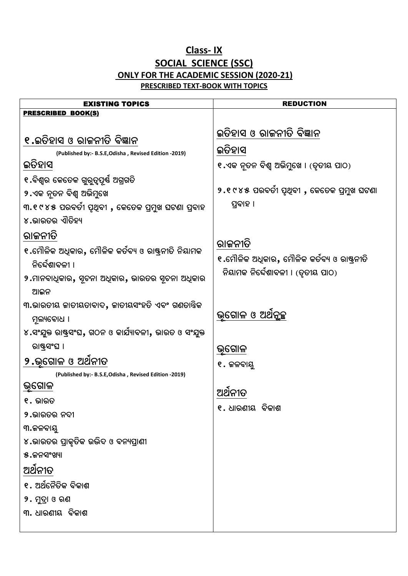## **Class- IX SOCIAL SCIENCE (SSC) ONLY FOR THE ACADEMIC SESSION (2020-21) PRESCRIBED TEXT-BOOK WITH TOPICS**

| <b>EXISTING TOPICS</b>                                  | <b>REDUCTION</b>                            |
|---------------------------------------------------------|---------------------------------------------|
| <u>PRESCRIBED BOOK(S)</u>                               |                                             |
| ୧.ଇତିହାସ ଓ ରାଜନୀତି ବିଜ୍ଞାନ                              | ଇତିହାସ ଓ ରାଜନୀତି ବିଜ୍ଞାନ                    |
| (Published by:- B.S.E, Odisha, Revised Edition -2019)   | ଇତିହାସ                                      |
| ଇତିହାସ                                                  | ୧.ଏକ ନୂତନ ବିଶ୍ୱ ଅଭିମୁଖେ । (ତୃତୀୟ ପାଠ)       |
| ୧.ବିଶ୍ୱର କେତେକ ଗୁରୁତ୍ୱପୂର୍ଷ ଅଗ୍ରଗତି                     |                                             |
| ୨.ଏକ ନୂତନ ବିଶ୍ୱ ଅଭିମୁଖେ                                 | ୨.୧୯୪୫ ପରବର୍ତୀ ପୃଥିବୀ , କେତେକ ପ୍ରମୁଖ ଘଟଣା   |
| ୩.୧୯୪୫ ପରବର୍ତୀ ପୃଥିବୀ , କେତେକ ପ୍ରମୁଖ ଘଟଣା ପ୍ରବାହ        | ପ୍ରବାହ ।                                    |
| ୪.ଭାରତର ଏାିତିହ୍ୟ                                        |                                             |
| ରାଜନୀତି                                                 |                                             |
| ୧.ମୌଳିକ ଅଧିକାର, ମୌଳିକ କର୍ତବ୍ୟ ଓ ରାଷ୍ଟ୍ରନୀତି ନିୟାମକ      | ରାଜନୀତି                                     |
| ନିର୍ଦ୍ଦେଶାବଳୀ ।                                         | ୧.ମୌଳିକ ଅଧୂକାର, ମୌଳିକ କର୍ତବ୍ୟ ଓ ରାଷ୍ଟ୍ରନୀତି |
| ୨.ମାନବାଧିକାର, ସୂଚନା ଅଧିକାର, ଭାରତର ସୂଚନା ଅଧିକାର          | ନିୟାମକ ନିର୍ଦ୍ଦେଶାବଳୀ । (ତୃତୀୟ ପାଠ)          |
| ଆଇନ                                                     |                                             |
| ୩.ଭାରତୀୟ ଜାତୀୟତାବାଦ, ଜାତୀୟସଂହତି ଏବଂ ଗଣତାନ୍ତିକ           |                                             |
| ମ୍ନଲ୍ୟବୋଧ ।                                             | ଭୂଗୋଳ ଓ ଅଥିନୃଚ୍ଛ                            |
| ୪.ସଂଯୁକ୍ତ ରାଷ୍ଟ୍ରସଂଘ, ଗଠନ ଓ କାର୍ଯ୍ୟାବଳୀ, ଭାରତ ଓ ସଂଯୁକ୍ତ |                                             |
| ରାଷ୍ଟ୍ରସଂଘ ।                                            | ଭୂଗୋଳ                                       |
| ୨.ଭ୍ଗୋଳ ଓ ଅଥିନୀତ                                        | ୧. ଜଳବାୟ                                    |
| (Published by:- B.S.E, Odisha, Revised Edition -2019)   |                                             |
| ଭୂଗୋଳ                                                   | ଅଥନୀତ                                       |
| ୧. ଭାରତ                                                 | ୧. ଧାରଣୀୟ  ବିକାଶ                            |
| ୨.ଭାରତର ନଦୀ                                             |                                             |
| ୩.ଜଳବାୟୁ                                                |                                             |
| ୪.ଭାରତର ପ୍ରାକୃତିକ ଉଦ୍ଭିଦ ଓ ବନ୍ୟପ୍ରାଣୀ                   |                                             |
| ୫.ଜନସଂଖ୍ୟା                                              |                                             |
| ଅର୍ଥନୀତ                                                 |                                             |
| ୧. ଅର୍ଥନୈତିକ ବିକାଶ                                      |                                             |
| ୨. ମୁଦ୍ରା ଓ ଋଣ                                          |                                             |
| ୩. ଧାରଣୀୟ ବିକାଶ                                         |                                             |
|                                                         |                                             |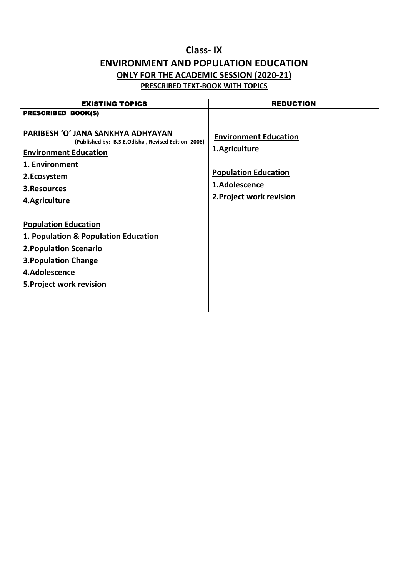### **Class- IX ENVIRONMENT AND POPULATION EDUCATION ONLY FOR THE ACADEMIC SESSION (2020-21) PRESCRIBED TEXT-BOOK WITH TOPICS**

| <b>EXISTING TOPICS</b>                                                                                                                                                                        | <b>REDUCTION</b>                                                                                                          |
|-----------------------------------------------------------------------------------------------------------------------------------------------------------------------------------------------|---------------------------------------------------------------------------------------------------------------------------|
| <b>PRESCRIBED BOOK(S)</b>                                                                                                                                                                     |                                                                                                                           |
| PARIBESH 'O' JANA SANKHYA ADHYAYAN<br>(Published by:- B.S.E, Odisha, Revised Edition -2006)<br><b>Environment Education</b><br>1. Environment<br>2.Ecosystem<br>3. Resources<br>4.Agriculture | <b>Environment Education</b><br>1.Agriculture<br><b>Population Education</b><br>1.Adolescence<br>2. Project work revision |
| <b>Population Education</b><br>1. Population & Population Education<br><b>2. Population Scenario</b><br><b>3. Population Change</b><br>4.Adolescence<br>5. Project work revision              |                                                                                                                           |